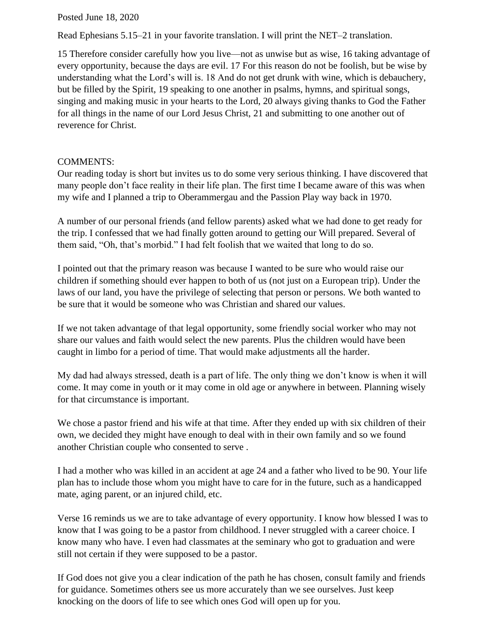Posted June 18, 2020

Read Ephesians 5.15–21 in your favorite translation. I will print the NET–2 translation.

15 Therefore consider carefully how you live—not as unwise but as wise, 16 taking advantage of every opportunity, because the days are evil. 17 For this reason do not be foolish, but be wise by understanding what the Lord's will is. 18 And do not get drunk with wine, which is debauchery, but be filled by the Spirit, 19 speaking to one another in psalms, hymns, and spiritual songs, singing and making music in your hearts to the Lord, 20 always giving thanks to God the Father for all things in the name of our Lord Jesus Christ, 21 and submitting to one another out of reverence for Christ.

## COMMENTS:

Our reading today is short but invites us to do some very serious thinking. I have discovered that many people don't face reality in their life plan. The first time I became aware of this was when my wife and I planned a trip to Oberammergau and the Passion Play way back in 1970.

A number of our personal friends (and fellow parents) asked what we had done to get ready for the trip. I confessed that we had finally gotten around to getting our Will prepared. Several of them said, "Oh, that's morbid." I had felt foolish that we waited that long to do so.

I pointed out that the primary reason was because I wanted to be sure who would raise our children if something should ever happen to both of us (not just on a European trip). Under the laws of our land, you have the privilege of selecting that person or persons. We both wanted to be sure that it would be someone who was Christian and shared our values.

If we not taken advantage of that legal opportunity, some friendly social worker who may not share our values and faith would select the new parents. Plus the children would have been caught in limbo for a period of time. That would make adjustments all the harder.

My dad had always stressed, death is a part of life. The only thing we don't know is when it will come. It may come in youth or it may come in old age or anywhere in between. Planning wisely for that circumstance is important.

We chose a pastor friend and his wife at that time. After they ended up with six children of their own, we decided they might have enough to deal with in their own family and so we found another Christian couple who consented to serve .

I had a mother who was killed in an accident at age 24 and a father who lived to be 90. Your life plan has to include those whom you might have to care for in the future, such as a handicapped mate, aging parent, or an injured child, etc.

Verse 16 reminds us we are to take advantage of every opportunity. I know how blessed I was to know that I was going to be a pastor from childhood. I never struggled with a career choice. I know many who have. I even had classmates at the seminary who got to graduation and were still not certain if they were supposed to be a pastor.

If God does not give you a clear indication of the path he has chosen, consult family and friends for guidance. Sometimes others see us more accurately than we see ourselves. Just keep knocking on the doors of life to see which ones God will open up for you.